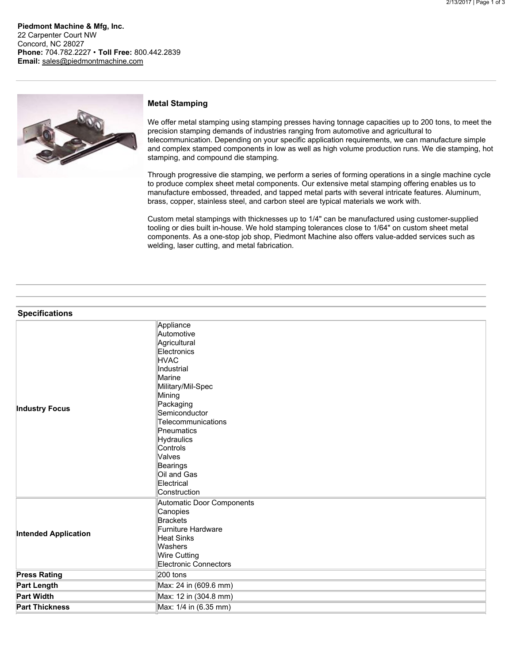**Piedmont Machine & Mfg, Inc.** 22 Carpenter Court NW Concord, NC 28027 **Phone:** 704.782.2227 • **Toll Free:** 800.442.2839 **Email:** [sales@piedmontmachine.com](mailto:sales@piedmontmachine.com)



## **Metal Stamping**

We offer metal stamping using stamping presses having tonnage capacities up to 200 tons, to meet the precision stamping demands of industries ranging from automotive and agricultural to telecommunication. Depending on your specific application requirements, we can manufacture simple and complex stamped components in low as well as high volume production runs. We die stamping, hot stamping, and compound die stamping.

Through progressive die stamping, we perform a series of forming operations in a single machine cycle to produce complex sheet metal components. Our extensive metal stamping offering enables us to manufacture embossed, threaded, and tapped metal parts with several intricate features. Aluminum, brass, copper, stainless steel, and carbon steel are typical materials we work with.

Custom metal stampings with thicknesses up to 1/4" can be manufactured using customer-supplied tooling or dies built in-house. We hold stamping tolerances close to 1/64" on custom sheet metal components. As a one-stop job shop, Piedmont Machine also offers value-added services such as welding, laser cutting, and metal fabrication.

| <b>Specifications</b>       |                                                                                                                                                                                                                                                                                                    |  |  |
|-----------------------------|----------------------------------------------------------------------------------------------------------------------------------------------------------------------------------------------------------------------------------------------------------------------------------------------------|--|--|
| <b>Industry Focus</b>       | Appliance<br>Automotive<br>Agricultural<br>Electronics<br><b>HVAC</b><br>Industrial<br>Marine<br>Military/Mil-Spec<br>Mining<br>Packaging<br>Semiconductor<br>Telecommunications<br>Pneumatics<br><b>Hydraulics</b><br>Controls<br>Valves<br>Bearings<br>Oil and Gas<br>Electrical<br>Construction |  |  |
| <b>Intended Application</b> | Automatic Door Components<br>Canopies<br><b>Brackets</b><br>Furniture Hardware<br><b>Heat Sinks</b><br>Washers<br><b>Wire Cutting</b><br><b>Electronic Connectors</b>                                                                                                                              |  |  |
| <b>Press Rating</b>         | 200 tons                                                                                                                                                                                                                                                                                           |  |  |
| <b>Part Length</b>          | Max: 24 in (609.6 mm)                                                                                                                                                                                                                                                                              |  |  |
| <b>Part Width</b>           | Max: 12 in (304.8 mm)                                                                                                                                                                                                                                                                              |  |  |
| <b>Part Thickness</b>       | Max: 1/4 in (6.35 mm)                                                                                                                                                                                                                                                                              |  |  |
|                             |                                                                                                                                                                                                                                                                                                    |  |  |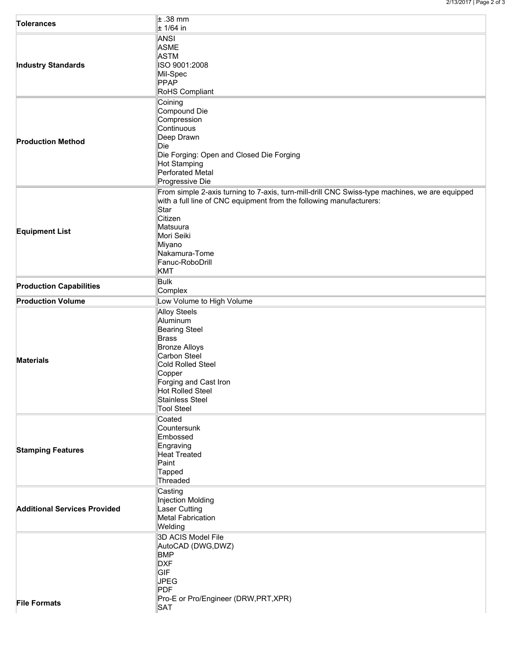| Tolerances                          | $\pm$ .38 mm<br>$\pm$ 1/64 in                                                                                                                                                                                                                                           |  |
|-------------------------------------|-------------------------------------------------------------------------------------------------------------------------------------------------------------------------------------------------------------------------------------------------------------------------|--|
| <b>Industry Standards</b>           | <b>ANSI</b><br>ASME<br><b>ASTM</b><br>ISO 9001:2008<br>Mil-Spec<br>PPAP<br>RoHS Compliant<br>Coining                                                                                                                                                                    |  |
| <b>Production Method</b>            | Compound Die<br>Compression<br>Continuous<br>Deep Drawn<br>Die<br>Die Forging: Open and Closed Die Forging<br>Hot Stamping<br>Perforated Metal<br>Progressive Die                                                                                                       |  |
| <b>Equipment List</b>               | From simple 2-axis turning to 7-axis, turn-mill-drill CNC Swiss-type machines, we are equipped<br>with a full line of CNC equipment from the following manufacturers:<br>Star<br>Citizen<br>Matsuura<br>Mori Seiki<br>Miyano<br>Nakamura-Tome<br>Fanuc-RoboDrill<br>KMT |  |
| <b>Production Capabilities</b>      | Bulk<br>Complex                                                                                                                                                                                                                                                         |  |
| <b>Production Volume</b>            | Low Volume to High Volume                                                                                                                                                                                                                                               |  |
| <b>Materials</b>                    | Alloy Steels<br>Aluminum<br>Bearing Steel<br>Brass<br>Bronze Alloys<br>Carbon Steel<br>Cold Rolled Steel<br>Copper<br>Forging and Cast Iron<br>Hot Rolled Steel<br>Stainless Steel<br><b>Tool Steel</b>                                                                 |  |
| <b>Stamping Features</b>            | Coated<br>Countersunk<br>Embossed<br>Engraving<br><b>Heat Treated</b><br>Paint<br>Tapped<br>Threaded                                                                                                                                                                    |  |
| <b>Additional Services Provided</b> | Casting<br>Injection Molding<br>Laser Cutting<br>Metal Fabrication<br>Welding<br>3D ACIS Model File<br>AutoCAD (DWG,DWZ)<br>BMP<br>DXF                                                                                                                                  |  |
| <b>File Formats</b>                 | GIF<br>JPEG<br> PDF<br>Pro-E or Pro/Engineer (DRW,PRT,XPR)                                                                                                                                                                                                              |  |
|                                     | SAT                                                                                                                                                                                                                                                                     |  |